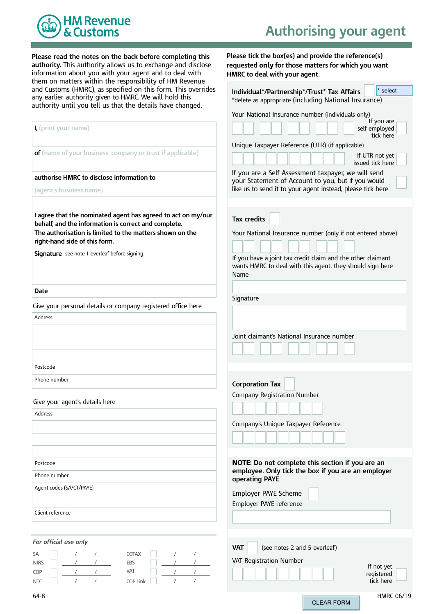

 **Please read the notes on the back before completing this authority.** This authority allows us to exchange and disclose information about you with your agent and to deal with them on matters within the responsibility of HM Revenue Customs (HMRC), as specified on this form. This earlier authority given to HMRC. We will hold until you tell us that the details have and Customs (HMRC), as specified on this form. This overrides any earlier authority given to HMRC. We will hold this authority until you tell us that the details have changed.

 **Please tick the box(es) and provide the reference(s) requested only for those matters for which you want HMRC to deal with your agent.**

| and Customs (HMRC), as specified on this form. This overrides                                                                                                                                                     | * select<br>Individual*/Partnership*/Trust* Tax Affairs                                                                          |
|-------------------------------------------------------------------------------------------------------------------------------------------------------------------------------------------------------------------|----------------------------------------------------------------------------------------------------------------------------------|
| any earlier authority given to HMRC. We will hold this<br>authority until you tell us that the details have changed.                                                                                              | *delete as appropriate (including National Insurance)                                                                            |
|                                                                                                                                                                                                                   | Your National Insurance number (individuals only)                                                                                |
| I, (print your name)                                                                                                                                                                                              | If you are<br>self employed                                                                                                      |
|                                                                                                                                                                                                                   | tick here                                                                                                                        |
|                                                                                                                                                                                                                   | Unique Taxpayer Reference (UTR) (if applicable)                                                                                  |
| of (name of your business, company or trust if applicable)                                                                                                                                                        | If UTR not yet<br>issued tick here                                                                                               |
| authorise HMRC to disclose information to                                                                                                                                                                         | If you are a Self Assessment taxpayer, we will send<br>your Statement of Account to you, but if you would                        |
| (agent's business name)                                                                                                                                                                                           | like us to send it to your agent instead, please tick here                                                                       |
| I agree that the nominated agent has agreed to act on my/our<br>behalf, and the information is correct and complete.<br>The authorisation is limited to the matters shown on the<br>right-hand side of this form. | <b>Tax credits</b><br>Your National Insurance number (only if not entered above)                                                 |
| Signature see note 1 overleaf before signing                                                                                                                                                                      | If you have a joint tax credit claim and the other claimant<br>wants HMRC to deal with this agent, they should sign here<br>Name |
| <b>Date</b>                                                                                                                                                                                                       |                                                                                                                                  |
| Give your personal details or company registered office here                                                                                                                                                      | Signature                                                                                                                        |
| <b>Address</b>                                                                                                                                                                                                    |                                                                                                                                  |
|                                                                                                                                                                                                                   |                                                                                                                                  |
|                                                                                                                                                                                                                   | Joint claimant's National Insurance number                                                                                       |
| Postcode                                                                                                                                                                                                          |                                                                                                                                  |
| Phone number                                                                                                                                                                                                      | <b>Corporation Tax</b>                                                                                                           |
|                                                                                                                                                                                                                   | <b>Company Registration Number</b>                                                                                               |
| Give your agent's details here                                                                                                                                                                                    |                                                                                                                                  |
| Address                                                                                                                                                                                                           |                                                                                                                                  |
|                                                                                                                                                                                                                   | Company's Unique Taxpayer Reference                                                                                              |
|                                                                                                                                                                                                                   |                                                                                                                                  |
| Postcode                                                                                                                                                                                                          | NOTE: Do not complete this section if you are an                                                                                 |
| Phone number                                                                                                                                                                                                      | employee. Only tick the box if you are an employer                                                                               |
| Agent codes (SA/CT/PAYE)                                                                                                                                                                                          | operating PAYE                                                                                                                   |
|                                                                                                                                                                                                                   | Employer PAYE Scheme                                                                                                             |
| Client reference                                                                                                                                                                                                  | Employer PAYE reference                                                                                                          |
|                                                                                                                                                                                                                   |                                                                                                                                  |
| For official use only                                                                                                                                                                                             |                                                                                                                                  |
| <b>COTAX</b><br>SA                                                                                                                                                                                                | <b>VAT</b><br>(see notes 2 and 5 overleaf)                                                                                       |
| EBS<br><b>NIRS</b>                                                                                                                                                                                                | VAT Registration Number<br>If not yet                                                                                            |
| VAT<br>COP<br>COP link<br>NTC                                                                                                                                                                                     | registered<br>tick here                                                                                                          |